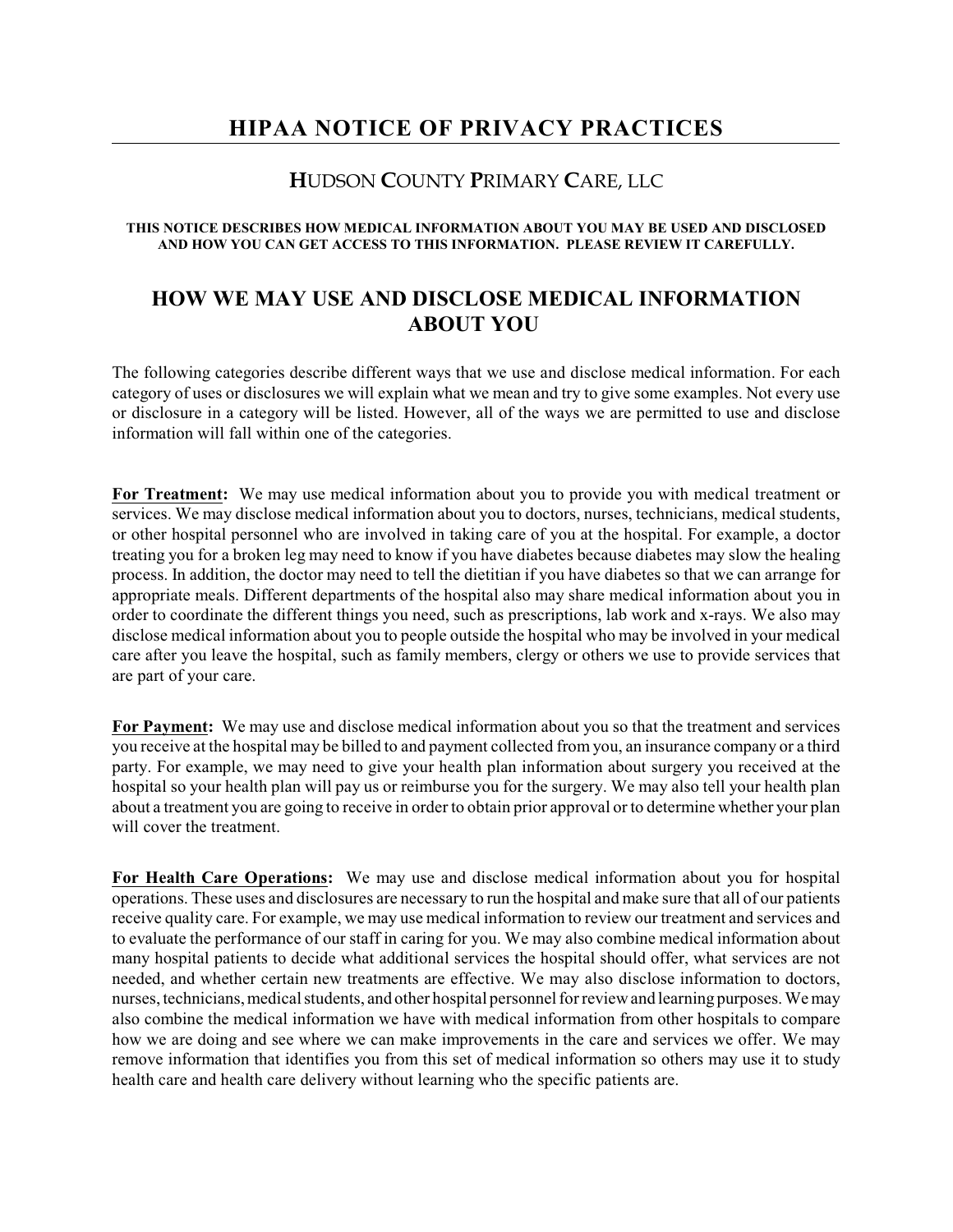# **HIPAA NOTICE OF PRIVACY PRACTICES**

#### **H**UDSON **C**OUNTY **P**RIMARY **C**ARE, LLC

#### **THIS NOTICE DESCRIBES HOW MEDICAL INFORMATION ABOUT YOU MAY BE USED AND DISCLOSED AND HOW YOU CAN GET ACCESS TO THIS INFORMATION. PLEASE REVIEW IT CAREFULLY.**

#### **HOW WE MAY USE AND DISCLOSE MEDICAL INFORMATION ABOUT YOU**

The following categories describe different ways that we use and disclose medical information. For each category of uses or disclosures we will explain what we mean and try to give some examples. Not every use or disclosure in a category will be listed. However, all of the ways we are permitted to use and disclose information will fall within one of the categories.

**For Treatment:** We may use medical information about you to provide you with medical treatment or services. We may disclose medical information about you to doctors, nurses, technicians, medical students, or other hospital personnel who are involved in taking care of you at the hospital. For example, a doctor treating you for a broken leg may need to know if you have diabetes because diabetes may slow the healing process. In addition, the doctor may need to tell the dietitian if you have diabetes so that we can arrange for appropriate meals. Different departments of the hospital also may share medical information about you in order to coordinate the different things you need, such as prescriptions, lab work and x-rays. We also may disclose medical information about you to people outside the hospital who may be involved in your medical care after you leave the hospital, such as family members, clergy or others we use to provide services that are part of your care.

**For Payment:** We may use and disclose medical information about you so that the treatment and services you receive at the hospital may be billed to and payment collected from you, an insurance company or a third party. For example, we may need to give your health plan information about surgery you received at the hospital so your health plan will pay us or reimburse you for the surgery. We may also tell your health plan about a treatment you are going to receive in order to obtain prior approval or to determine whether your plan will cover the treatment.

**For Health Care Operations:** We may use and disclose medical information about you for hospital operations. These uses and disclosures are necessary to run the hospital and make sure that all of our patients receive quality care. For example, we may use medical information to review our treatment and services and to evaluate the performance of our staff in caring for you. We may also combine medical information about many hospital patients to decide what additional services the hospital should offer, what services are not needed, and whether certain new treatments are effective. We may also disclose information to doctors, nurses, technicians, medical students, and other hospital personnel for review and learning purposes. We may also combine the medical information we have with medical information from other hospitals to compare how we are doing and see where we can make improvements in the care and services we offer. We may remove information that identifies you from this set of medical information so others may use it to study health care and health care delivery without learning who the specific patients are.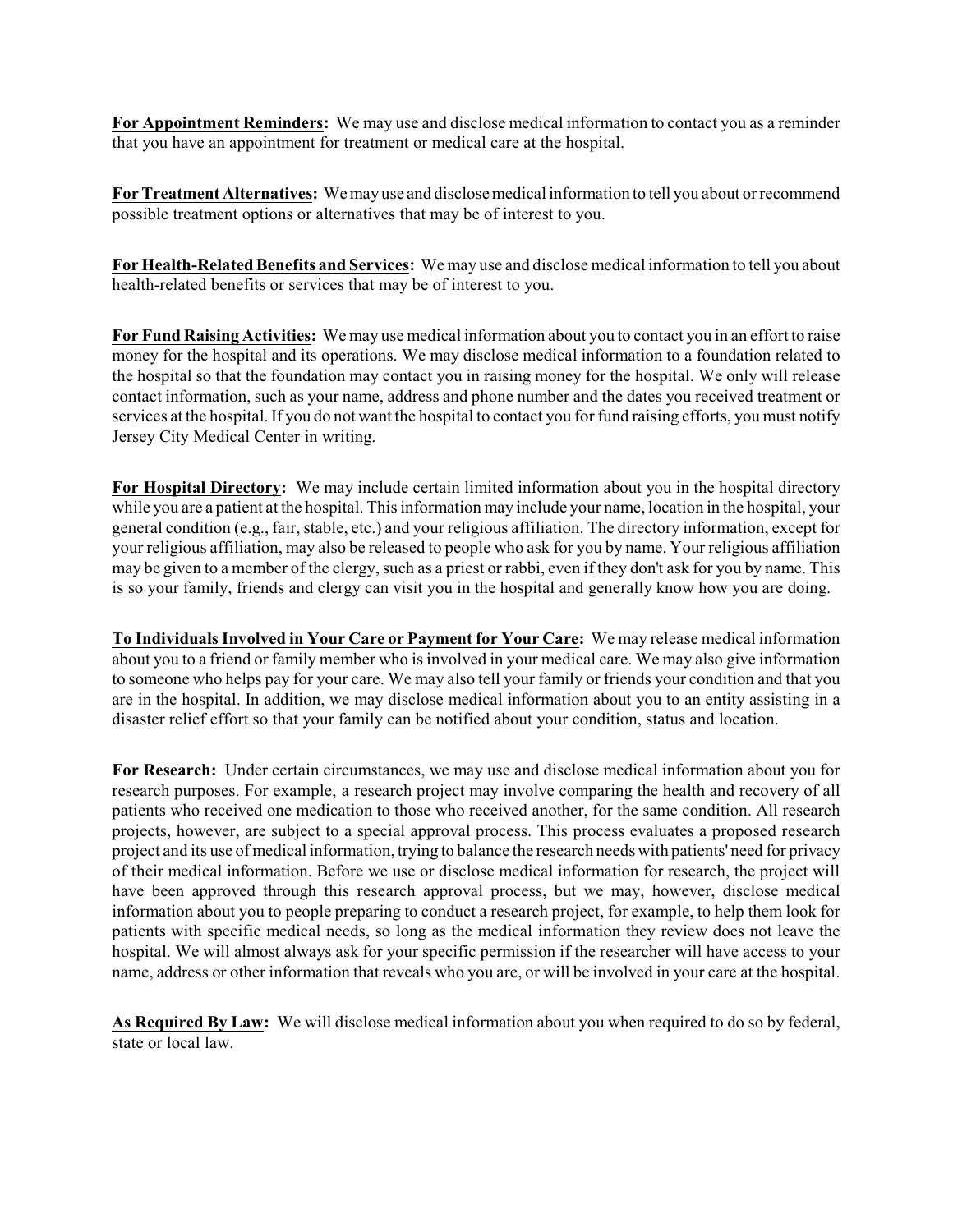**For Appointment Reminders:** We may use and disclose medical information to contact you as a reminder that you have an appointment for treatment or medical care at the hospital.

**For Treatment Alternatives:** We may use and disclose medical information to tell you about or recommend possible treatment options or alternatives that may be of interest to you.

**For Health-Related Benefits and Services:** We may use and disclose medical information to tell you about health-related benefits or services that may be of interest to you.

**For Fund Raising Activities:** We may use medical information about you to contact you in an effort to raise money for the hospital and its operations. We may disclose medical information to a foundation related to the hospital so that the foundation may contact you in raising money for the hospital. We only will release contact information, such as your name, address and phone number and the dates you received treatment or services at the hospital. If you do not want the hospital to contact you for fund raising efforts, you must notify Jersey City Medical Center in writing.

**For Hospital Directory:** We may include certain limited information about you in the hospital directory while you are a patient at the hospital. This information may include your name, location in the hospital, your general condition (e.g., fair, stable, etc.) and your religious affiliation. The directory information, except for your religious affiliation, may also be released to people who ask for you by name. Your religious affiliation may be given to a member of the clergy, such as a priest or rabbi, even if they don't ask for you by name. This is so your family, friends and clergy can visit you in the hospital and generally know how you are doing.

**To Individuals Involved in Your Care or Payment for Your Care:** We may release medical information about you to a friend or family member who is involved in your medical care. We may also give information to someone who helps pay for your care. We may also tell your family or friends your condition and that you are in the hospital. In addition, we may disclose medical information about you to an entity assisting in a disaster relief effort so that your family can be notified about your condition, status and location.

**For Research:** Under certain circumstances, we may use and disclose medical information about you for research purposes. For example, a research project may involve comparing the health and recovery of all patients who received one medication to those who received another, for the same condition. All research projects, however, are subject to a special approval process. This process evaluates a proposed research project and its use of medical information, trying to balance the research needs with patients' need for privacy of their medical information. Before we use or disclose medical information for research, the project will have been approved through this research approval process, but we may, however, disclose medical information about you to people preparing to conduct a research project, for example, to help them look for patients with specific medical needs, so long as the medical information they review does not leave the hospital. We will almost always ask for your specific permission if the researcher will have access to your name, address or other information that reveals who you are, or will be involved in your care at the hospital.

**As Required By Law:** We will disclose medical information about you when required to do so by federal, state or local law.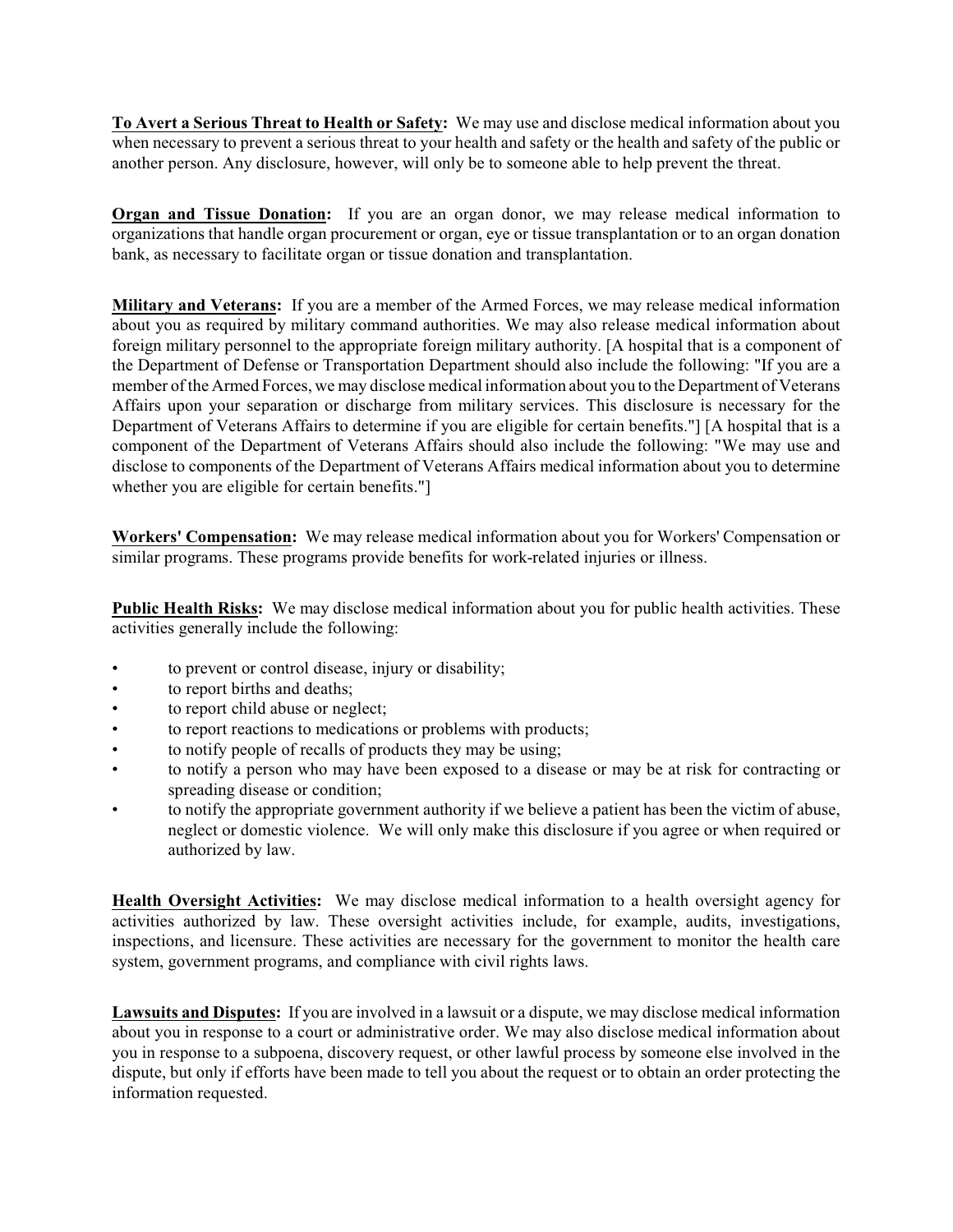**To Avert a Serious Threat to Health or Safety:** We may use and disclose medical information about you when necessary to prevent a serious threat to your health and safety or the health and safety of the public or another person. Any disclosure, however, will only be to someone able to help prevent the threat.

**Organ and Tissue Donation:** If you are an organ donor, we may release medical information to organizations that handle organ procurement or organ, eye or tissue transplantation or to an organ donation bank, as necessary to facilitate organ or tissue donation and transplantation.

**Military and Veterans:** If you are a member of the Armed Forces, we may release medical information about you as required by military command authorities. We may also release medical information about foreign military personnel to the appropriate foreign military authority. [A hospital that is a component of the Department of Defense or Transportation Department should also include the following: "If you are a member of the Armed Forces, we may disclose medical information about you to the Department of Veterans Affairs upon your separation or discharge from military services. This disclosure is necessary for the Department of Veterans Affairs to determine if you are eligible for certain benefits."] [A hospital that is a component of the Department of Veterans Affairs should also include the following: "We may use and disclose to components of the Department of Veterans Affairs medical information about you to determine whether you are eligible for certain benefits."]

**Workers' Compensation:** We may release medical information about you for Workers' Compensation or similar programs. These programs provide benefits for work-related injuries or illness.

**Public Health Risks:** We may disclose medical information about you for public health activities. These activities generally include the following:

- to prevent or control disease, injury or disability;
- to report births and deaths;
- to report child abuse or neglect;
- to report reactions to medications or problems with products;
- to notify people of recalls of products they may be using;
- to notify a person who may have been exposed to a disease or may be at risk for contracting or spreading disease or condition;
- to notify the appropriate government authority if we believe a patient has been the victim of abuse, neglect or domestic violence. We will only make this disclosure if you agree or when required or authorized by law.

**Health Oversight Activities:** We may disclose medical information to a health oversight agency for activities authorized by law. These oversight activities include, for example, audits, investigations, inspections, and licensure. These activities are necessary for the government to monitor the health care system, government programs, and compliance with civil rights laws.

**Lawsuits and Disputes:** If you are involved in a lawsuit or a dispute, we may disclose medical information about you in response to a court or administrative order. We may also disclose medical information about you in response to a subpoena, discovery request, or other lawful process by someone else involved in the dispute, but only if efforts have been made to tell you about the request or to obtain an order protecting the information requested.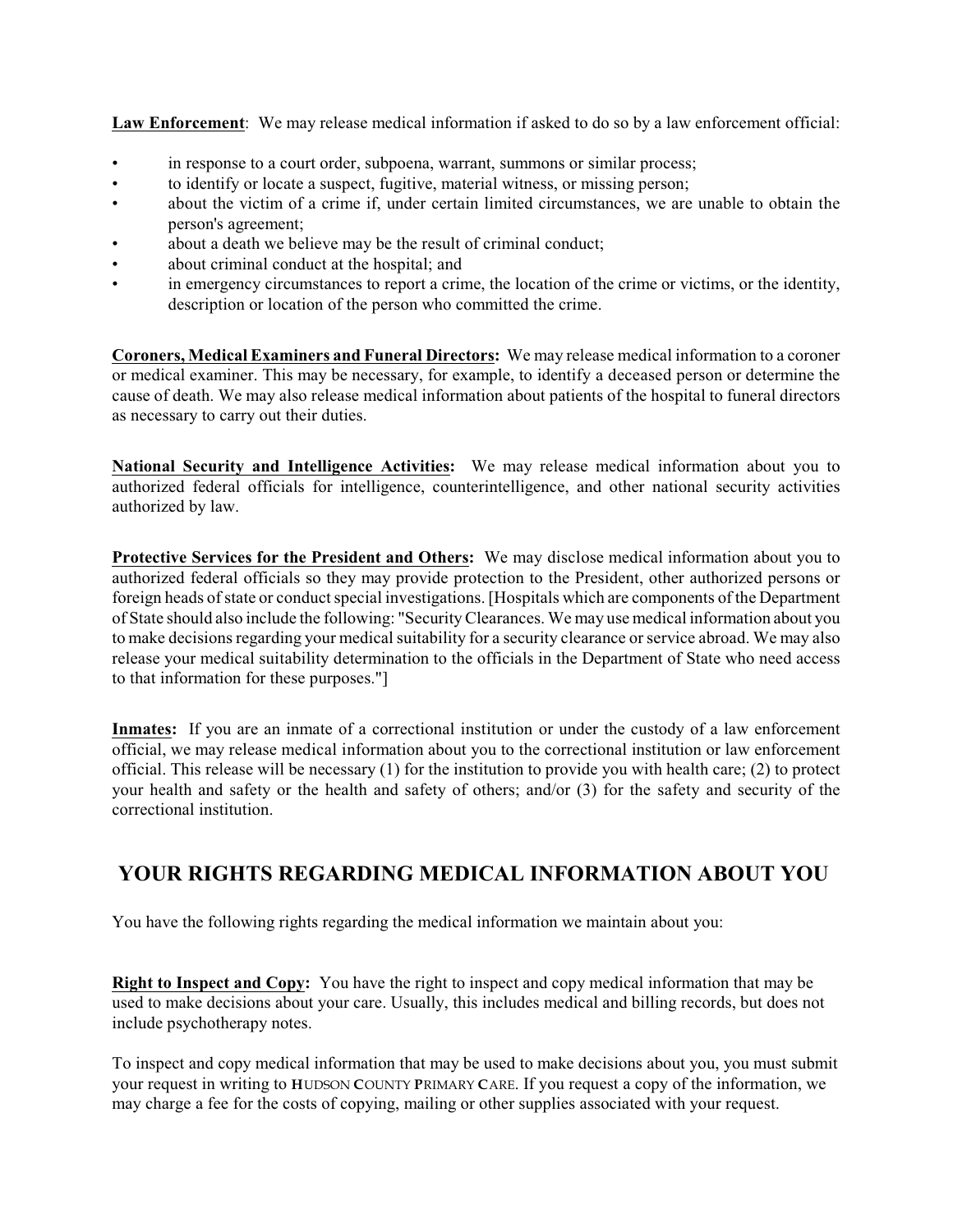**Law Enforcement**: We may release medical information if asked to do so by a law enforcement official:

- in response to a court order, subpoena, warrant, summons or similar process;
- to identify or locate a suspect, fugitive, material witness, or missing person;
- about the victim of a crime if, under certain limited circumstances, we are unable to obtain the person's agreement;
- about a death we believe may be the result of criminal conduct;
- about criminal conduct at the hospital; and
- in emergency circumstances to report a crime, the location of the crime or victims, or the identity, description or location of the person who committed the crime.

**Coroners, Medical Examiners and Funeral Directors:** We may release medical information to a coroner or medical examiner. This may be necessary, for example, to identify a deceased person or determine the cause of death. We may also release medical information about patients of the hospital to funeral directors as necessary to carry out their duties.

**National Security and Intelligence Activities:** We may release medical information about you to authorized federal officials for intelligence, counterintelligence, and other national security activities authorized by law.

**Protective Services for the President and Others:** We may disclose medical information about you to authorized federal officials so they may provide protection to the President, other authorized persons or foreign heads of state or conduct special investigations. [Hospitals which are components of the Department of State should also include the following: "Security Clearances. We may use medical information about you to make decisions regarding your medical suitability for a security clearance or service abroad. We may also release your medical suitability determination to the officials in the Department of State who need access to that information for these purposes."]

**Inmates:** If you are an inmate of a correctional institution or under the custody of a law enforcement official, we may release medical information about you to the correctional institution or law enforcement official. This release will be necessary (1) for the institution to provide you with health care; (2) to protect your health and safety or the health and safety of others; and/or (3) for the safety and security of the correctional institution.

## **YOUR RIGHTS REGARDING MEDICAL INFORMATION ABOUT YOU**

You have the following rights regarding the medical information we maintain about you:

**Right to Inspect and Copy:** You have the right to inspect and copy medical information that may be used to make decisions about your care. Usually, this includes medical and billing records, but does not include psychotherapy notes.

To inspect and copy medical information that may be used to make decisions about you, you must submit your request in writing to **H**UDSON **C**OUNTY **P**RIMARY **C**ARE. If you request a copy of the information, we may charge a fee for the costs of copying, mailing or other supplies associated with your request.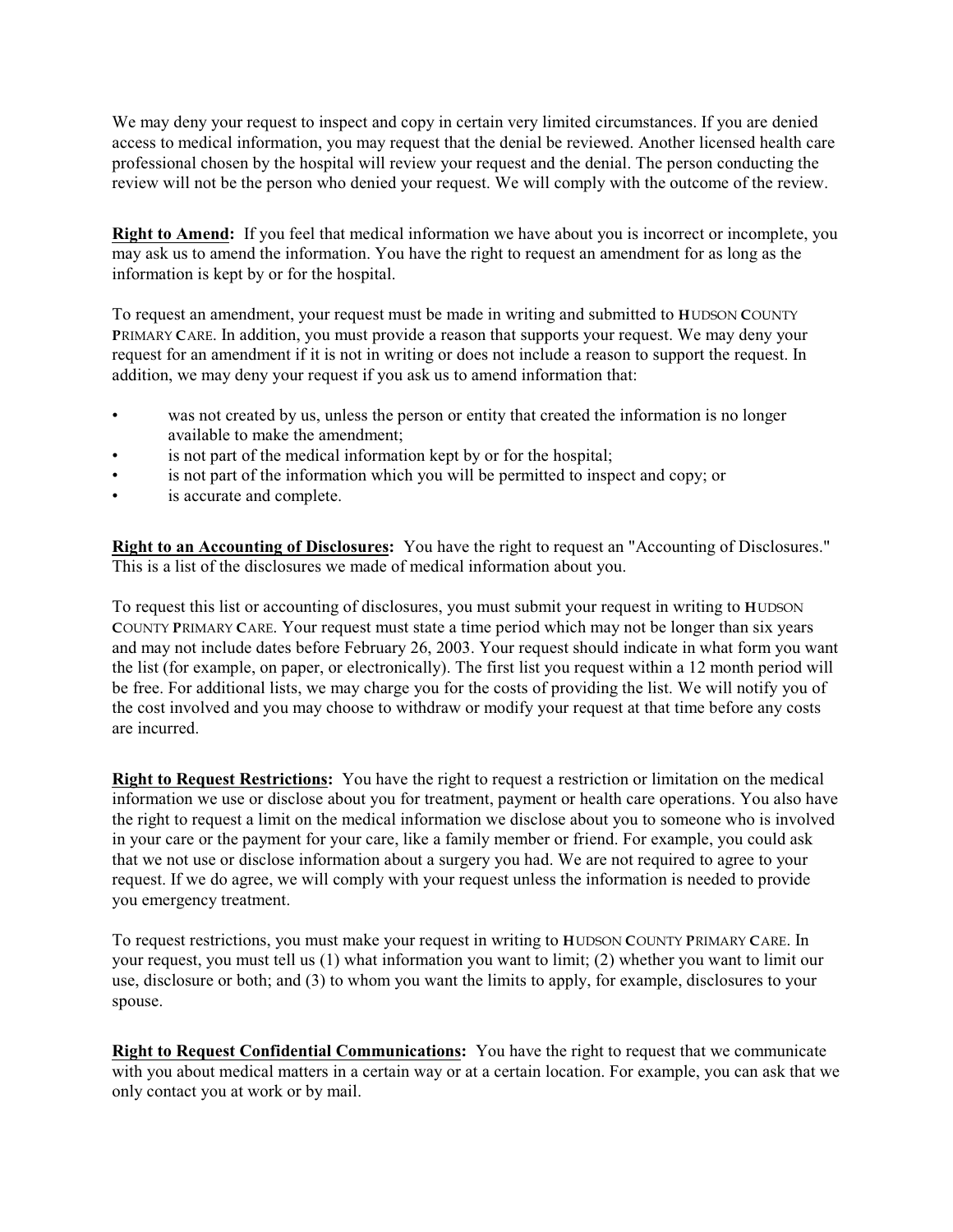We may deny your request to inspect and copy in certain very limited circumstances. If you are denied access to medical information, you may request that the denial be reviewed. Another licensed health care professional chosen by the hospital will review your request and the denial. The person conducting the review will not be the person who denied your request. We will comply with the outcome of the review.

**Right to Amend:** If you feel that medical information we have about you is incorrect or incomplete, you may ask us to amend the information. You have the right to request an amendment for as long as the information is kept by or for the hospital.

To request an amendment, your request must be made in writing and submitted to **H**UDSON **C**OUNTY **P**RIMARY **C**ARE. In addition, you must provide a reason that supports your request. We may deny your request for an amendment if it is not in writing or does not include a reason to support the request. In addition, we may deny your request if you ask us to amend information that:

- was not created by us, unless the person or entity that created the information is no longer available to make the amendment;
- is not part of the medical information kept by or for the hospital;
- is not part of the information which you will be permitted to inspect and copy; or
- is accurate and complete.

**Right to an Accounting of Disclosures:** You have the right to request an "Accounting of Disclosures." This is a list of the disclosures we made of medical information about you.

To request this list or accounting of disclosures, you must submit your request in writing to **H**UDSON **C**OUNTY **P**RIMARY **C**ARE. Your request must state a time period which may not be longer than six years and may not include dates before February 26, 2003. Your request should indicate in what form you want the list (for example, on paper, or electronically). The first list you request within a 12 month period will be free. For additional lists, we may charge you for the costs of providing the list. We will notify you of the cost involved and you may choose to withdraw or modify your request at that time before any costs are incurred.

**Right to Request Restrictions:** You have the right to request a restriction or limitation on the medical information we use or disclose about you for treatment, payment or health care operations. You also have the right to request a limit on the medical information we disclose about you to someone who is involved in your care or the payment for your care, like a family member or friend. For example, you could ask that we not use or disclose information about a surgery you had. We are not required to agree to your request. If we do agree, we will comply with your request unless the information is needed to provide you emergency treatment.

To request restrictions, you must make your request in writing to **H**UDSON **C**OUNTY **P**RIMARY **C**ARE. In your request, you must tell us (1) what information you want to limit; (2) whether you want to limit our use, disclosure or both; and (3) to whom you want the limits to apply, for example, disclosures to your spouse.

**Right to Request Confidential Communications:** You have the right to request that we communicate with you about medical matters in a certain way or at a certain location. For example, you can ask that we only contact you at work or by mail.